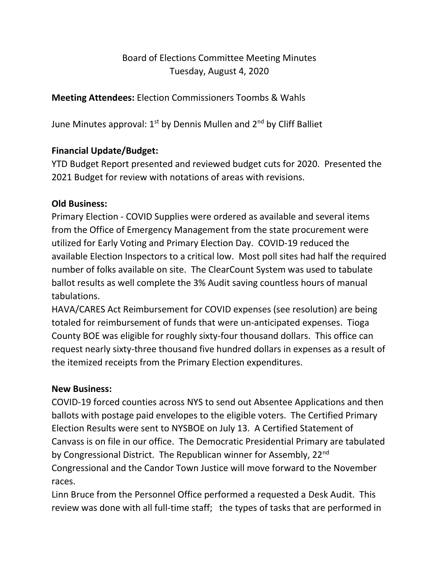# Board of Elections Committee Meeting Minutes Tuesday, August 4, 2020

## **Meeting Attendees:** Election Commissioners Toombs & Wahls

June Minutes approval:  $1<sup>st</sup>$  by Dennis Mullen and  $2<sup>nd</sup>$  by Cliff Balliet

## **Financial Update/Budget:**

YTD Budget Report presented and reviewed budget cuts for 2020. Presented the 2021 Budget for review with notations of areas with revisions.

#### **Old Business:**

Primary Election - COVID Supplies were ordered as available and several items from the Office of Emergency Management from the state procurement were utilized for Early Voting and Primary Election Day. COVID-19 reduced the available Election Inspectors to a critical low. Most poll sites had half the required number of folks available on site. The ClearCount System was used to tabulate ballot results as well complete the 3% Audit saving countless hours of manual tabulations.

HAVA/CARES Act Reimbursement for COVID expenses (see resolution) are being totaled for reimbursement of funds that were un-anticipated expenses. Tioga County BOE was eligible for roughly sixty-four thousand dollars. This office can request nearly sixty-three thousand five hundred dollars in expenses as a result of the itemized receipts from the Primary Election expenditures.

### **New Business:**

COVID-19 forced counties across NYS to send out Absentee Applications and then ballots with postage paid envelopes to the eligible voters. The Certified Primary Election Results were sent to NYSBOE on July 13. A Certified Statement of Canvass is on file in our office. The Democratic Presidential Primary are tabulated by Congressional District. The Republican winner for Assembly, 22<sup>nd</sup> Congressional and the Candor Town Justice will move forward to the November races.

Linn Bruce from the Personnel Office performed a requested a Desk Audit. This review was done with all full-time staff; the types of tasks that are performed in